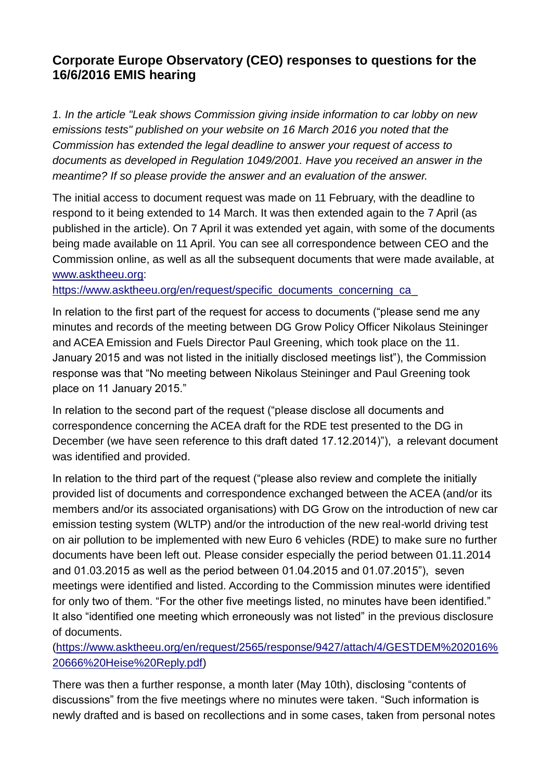# **Corporate Europe Observatory (CEO) responses to questions for the 16/6/2016 EMIS hearing**

*1. In the article "Leak shows Commission giving inside information to car lobby on new emissions tests" published on your website on 16 March 2016 you noted that the Commission has extended the legal deadline to answer your request of access to documents as developed in Regulation 1049/2001. Have you received an answer in the meantime? If so please provide the answer and an evaluation of the answer.*

The initial access to document request was made on 11 February, with the deadline to respond to it being extended to 14 March. It was then extended again to the 7 April (as published in the article). On 7 April it was extended yet again, with some of the documents being made available on 11 April. You can see all correspondence between CEO and the Commission online, as well as all the subsequent documents that were made available, at [www.asktheeu.org:](http://www.asktheeu.org/)

https://www.asktheeu.org/en/request/specific\_documents\_concerning\_ca

In relation to the first part of the request for access to documents ("please send me any minutes and records of the meeting between DG Grow Policy Officer Nikolaus Steininger and ACEA Emission and Fuels Director Paul Greening, which took place on the 11. January 2015 and was not listed in the initially disclosed meetings list"), the Commission response was that "No meeting between Nikolaus Steininger and Paul Greening took place on 11 January 2015."

In relation to the second part of the request ("please disclose all documents and correspondence concerning the ACEA draft for the RDE test presented to the DG in December (we have seen reference to this draft dated 17.12.2014)"), a relevant document was identified and provided.

In relation to the third part of the request ("please also review and complete the initially provided list of documents and correspondence exchanged between the ACEA (and/or its members and/or its associated organisations) with DG Grow on the introduction of new car emission testing system (WLTP) and/or the introduction of the new real-world driving test on air pollution to be implemented with new Euro 6 vehicles (RDE) to make sure no further documents have been left out. Please consider especially the period between 01.11.2014 and 01.03.2015 as well as the period between 01.04.2015 and 01.07.2015"), seven meetings were identified and listed. According to the Commission minutes were identified for only two of them. "For the other five meetings listed, no minutes have been identified." It also "identified one meeting which erroneously was not listed" in the previous disclosure of documents.

[\(https://www.asktheeu.org/en/request/2565/response/9427/attach/4/GESTDEM%202016%](https://www.asktheeu.org/en/request/2565/response/9427/attach/4/GESTDEM%202016%20666%20Heise%20Reply.pdf) [20666%20Heise%20Reply.pdf\)](https://www.asktheeu.org/en/request/2565/response/9427/attach/4/GESTDEM%202016%20666%20Heise%20Reply.pdf)

There was then a further response, a month later (May 10th), disclosing "contents of discussions" from the five meetings where no minutes were taken. "Such information is newly drafted and is based on recollections and in some cases, taken from personal notes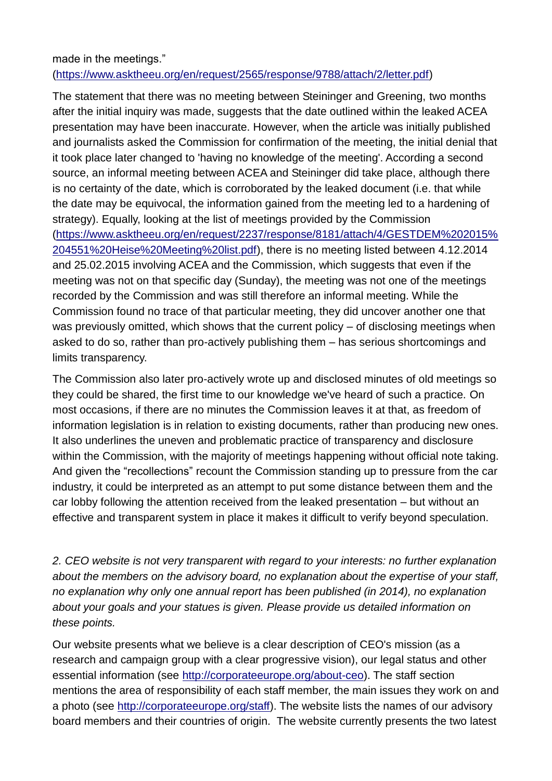### made in the meetings." [\(https://www.asktheeu.org/en/request/2565/response/9788/attach/2/letter.pdf\)](https://www.asktheeu.org/en/request/2565/response/9788/attach/2/letter.pdf)

The statement that there was no meeting between Steininger and Greening, two months after the initial inquiry was made, suggests that the date outlined within the leaked ACEA presentation may have been inaccurate. However, when the article was initially published and journalists asked the Commission for confirmation of the meeting, the initial denial that it took place later changed to 'having no knowledge of the meeting'. According a second source, an informal meeting between ACEA and Steininger did take place, although there is no certainty of the date, which is corroborated by the leaked document (i.e. that while the date may be equivocal, the information gained from the meeting led to a hardening of strategy). Equally, looking at the list of meetings provided by the Commission [\(https://www.asktheeu.org/en/request/2237/response/8181/attach/4/GESTDEM%202015%](https://www.asktheeu.org/en/request/2237/response/8181/attach/4/GESTDEM%202015%204551%20Heise%20Meeting%20list.pdf) [204551%20Heise%20Meeting%20list.pdf\)](https://www.asktheeu.org/en/request/2237/response/8181/attach/4/GESTDEM%202015%204551%20Heise%20Meeting%20list.pdf), there is no meeting listed between 4.12.2014 and 25.02.2015 involving ACEA and the Commission, which suggests that even if the meeting was not on that specific day (Sunday), the meeting was not one of the meetings recorded by the Commission and was still therefore an informal meeting. While the Commission found no trace of that particular meeting, they did uncover another one that was previously omitted, which shows that the current policy – of disclosing meetings when asked to do so, rather than pro-actively publishing them – has serious shortcomings and limits transparency.

The Commission also later pro-actively wrote up and disclosed minutes of old meetings so they could be shared, the first time to our knowledge we've heard of such a practice. On most occasions, if there are no minutes the Commission leaves it at that, as freedom of information legislation is in relation to existing documents, rather than producing new ones. It also underlines the uneven and problematic practice of transparency and disclosure within the Commission, with the majority of meetings happening without official note taking. And given the "recollections" recount the Commission standing up to pressure from the car industry, it could be interpreted as an attempt to put some distance between them and the car lobby following the attention received from the leaked presentation – but without an effective and transparent system in place it makes it difficult to verify beyond speculation.

*2. CEO website is not very transparent with regard to your interests: no further explanation about the members on the advisory board, no explanation about the expertise of your staff, no explanation why only one annual report has been published (in 2014), no explanation about your goals and your statues is given. Please provide us detailed information on these points.*

Our website presents what we believe is a clear description of CEO's mission (as a research and campaign group with a clear progressive vision), our legal status and other essential information (see [http://corporateeurope.org/about-ceo\)](http://corporateeurope.org/about-ceo). The staff section mentions the area of responsibility of each staff member, the main issues they work on and a photo (see [http://corporateeurope.org/staff\)](http://corporateeurope.org/staff). The website lists the names of our advisory board members and their countries of origin. The website currently presents the two latest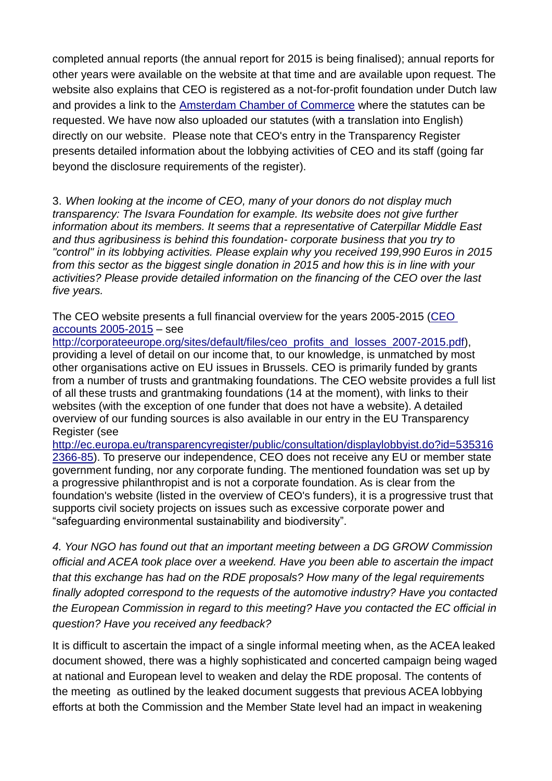completed annual reports (the annual report for 2015 is being finalised); annual reports for other years were available on the website at that time and are available upon request. The website also explains that CEO is registered as a not-for-profit foundation under Dutch law and provides a link to the [Amsterdam Chamber of Commerce](https://server.db.kvk.nl/TST-BIN/FU/TSWS001@?BUTT=33298822) where the statutes can be requested. We have now also uploaded our statutes (with a translation into English) directly on our website. Please note that CEO's entry in the Transparency Register presents detailed information about the lobbying activities of CEO and its staff (going far beyond the disclosure requirements of the register).

3. *When looking at the income of CEO, many of your donors do not display much transparency: The Isvara Foundation for example. Its website does not give further information about its members. It seems that a representative of Caterpillar Middle East and thus agribusiness is behind this foundation- corporate business that you try to "control" in its lobbying activities. Please explain why you received 199,990 Euros in 2015 from this sector as the biggest single donation in 2015 and how this is in line with your activities? Please provide detailed information on the financing of the CEO over the last five years.*

The CEO website presents a full financial overview for the years 2005-2015 (CEO [accounts 2005-2015](http://corporateeurope.org/sites/default/files/ceo_profits_and_losses_2007-2015.pdf) – see

[http://corporateeurope.org/sites/default/files/ceo\\_profits\\_and\\_losses\\_2007-2015.pdf\)](http://corporateeurope.org/sites/default/files/ceo_profits_and_losses_2007-2015.pdf). providing a level of detail on our income that, to our knowledge, is unmatched by most other organisations active on EU issues in Brussels. CEO is primarily funded by grants from a number of trusts and grantmaking foundations. The CEO website provides a full list of all these trusts and grantmaking foundations (14 at the moment), with links to their websites (with the exception of one funder that does not have a website). A detailed overview of our funding sources is also available in our entry in the EU Transparency Register (see

[http://ec.europa.eu/transparencyregister/public/consultation/displaylobbyist.do?id=535316](http://ec.europa.eu/transparencyregister/public/consultation/displaylobbyist.do?id=5353162366-85) [2366-85\)](http://ec.europa.eu/transparencyregister/public/consultation/displaylobbyist.do?id=5353162366-85). To preserve our independence, CEO does not receive any EU or member state government funding, nor any corporate funding. The mentioned foundation was set up by a progressive philanthropist and is not a corporate foundation. As is clear from the foundation's website (listed in the overview of CEO's funders), it is a progressive trust that supports civil society projects on issues such as excessive corporate power and "safeguarding environmental sustainability and biodiversity".

*4. Your NGO has found out that an important meeting between a DG GROW Commission official and ACEA took place over a weekend. Have you been able to ascertain the impact that this exchange has had on the RDE proposals? How many of the legal requirements finally adopted correspond to the requests of the automotive industry? Have you contacted the European Commission in regard to this meeting? Have you contacted the EC official in question? Have you received any feedback?*

It is difficult to ascertain the impact of a single informal meeting when, as the ACEA leaked document showed, there was a highly sophisticated and concerted campaign being waged at national and European level to weaken and delay the RDE proposal. The contents of the meeting as outlined by the leaked document suggests that previous ACEA lobbying efforts at both the Commission and the Member State level had an impact in weakening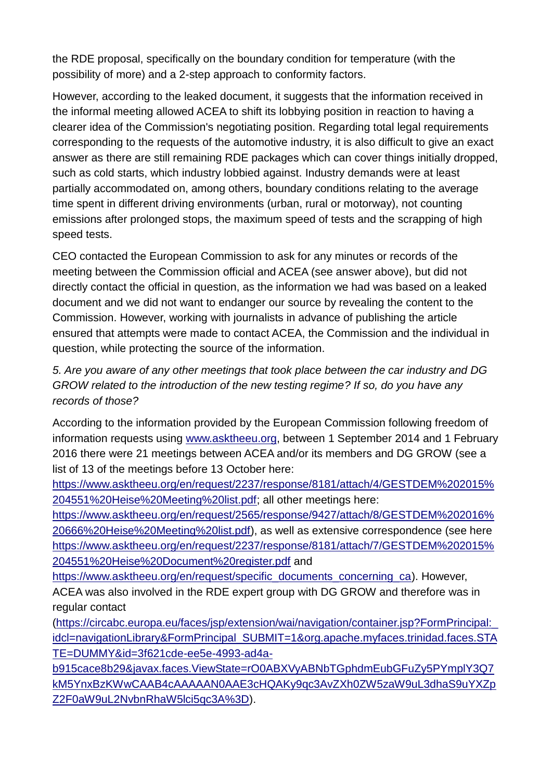the RDE proposal, specifically on the boundary condition for temperature (with the possibility of more) and a 2-step approach to conformity factors.

However, according to the leaked document, it suggests that the information received in the informal meeting allowed ACEA to shift its lobbying position in reaction to having a clearer idea of the Commission's negotiating position. Regarding total legal requirements corresponding to the requests of the automotive industry, it is also difficult to give an exact answer as there are still remaining RDE packages which can cover things initially dropped, such as cold starts, which industry lobbied against. Industry demands were at least partially accommodated on, among others, boundary conditions relating to the average time spent in different driving environments (urban, rural or motorway), not counting emissions after prolonged stops, the maximum speed of tests and the scrapping of high speed tests.

CEO contacted the European Commission to ask for any minutes or records of the meeting between the Commission official and ACEA (see answer above), but did not directly contact the official in question, as the information we had was based on a leaked document and we did not want to endanger our source by revealing the content to the Commission. However, working with journalists in advance of publishing the article ensured that attempts were made to contact ACEA, the Commission and the individual in question, while protecting the source of the information.

*5. Are you aware of any other meetings that took place between the car industry and DG GROW related to the introduction of the new testing regime? If so, do you have any records of those?* 

According to the information provided by the European Commission following freedom of information requests using [www.asktheeu.org,](http://www.asktheeu.org/) between 1 September 2014 and 1 February 2016 there were 21 meetings between ACEA and/or its members and DG GROW (see a list of 13 of the meetings before 13 October here:

[https://www.asktheeu.org/en/request/2237/response/8181/attach/4/GESTDEM%202015%](https://www.asktheeu.org/en/request/2237/response/8181/attach/4/GESTDEM%202015%204551%20Heise%20Meeting%20list.pdf) [204551%20Heise%20Meeting%20list.pdf;](https://www.asktheeu.org/en/request/2237/response/8181/attach/4/GESTDEM%202015%204551%20Heise%20Meeting%20list.pdf) all other meetings here:

[https://www.asktheeu.org/en/request/2565/response/9427/attach/8/GESTDEM%202016%](https://www.asktheeu.org/en/request/2565/response/9427/attach/8/GESTDEM%202016%20666%20Heise%20Meeting%20list.pdf) [20666%20Heise%20Meeting%20list.pdf\)](https://www.asktheeu.org/en/request/2565/response/9427/attach/8/GESTDEM%202016%20666%20Heise%20Meeting%20list.pdf), as well as extensive correspondence (see here [https://www.asktheeu.org/en/request/2237/response/8181/attach/7/GESTDEM%202015%](https://www.asktheeu.org/en/request/2237/response/8181/attach/7/GESTDEM%202015%204551%20Heise%20Document%20register.pdf) [204551%20Heise%20Document%20register.pdf](https://www.asktheeu.org/en/request/2237/response/8181/attach/7/GESTDEM%202015%204551%20Heise%20Document%20register.pdf) and

[https://www.asktheeu.org/en/request/specific\\_documents\\_concerning\\_ca\)](https://www.asktheeu.org/en/request/specific_documents_concerning_ca). However, ACEA was also involved in the RDE expert group with DG GROW and therefore was in regular contact

[\(https://circabc.europa.eu/faces/jsp/extension/wai/navigation/container.jsp?FormPrincipal:\\_](https://circabc.europa.eu/faces/jsp/extension/wai/navigation/container.jsp?FormPrincipal:_idcl=navigationLibrary&FormPrincipal_SUBMIT=1&org.apache.myfaces.trinidad.faces.STATE=DUMMY&id=3f621cde-ee5e-4993-ad4a-b915cace8b29&javax.faces.ViewState=rO0ABXVyABNbTGphdmEubGFuZy5PYmplY3Q7kM5YnxBzKWwCAAB4cAAAAAN0AAE3cHQAKy9qc3AvZXh0ZW5zaW9uL3dhaS9uYXZpZ2F0aW9uL2NvbnRhaW5lci5qc3A%3D) [idcl=navigationLibrary&FormPrincipal\\_SUBMIT=1&org.apache.myfaces.trinidad.faces.STA](https://circabc.europa.eu/faces/jsp/extension/wai/navigation/container.jsp?FormPrincipal:_idcl=navigationLibrary&FormPrincipal_SUBMIT=1&org.apache.myfaces.trinidad.faces.STATE=DUMMY&id=3f621cde-ee5e-4993-ad4a-b915cace8b29&javax.faces.ViewState=rO0ABXVyABNbTGphdmEubGFuZy5PYmplY3Q7kM5YnxBzKWwCAAB4cAAAAAN0AAE3cHQAKy9qc3AvZXh0ZW5zaW9uL3dhaS9uYXZpZ2F0aW9uL2NvbnRhaW5lci5qc3A%3D) [TE=DUMMY&id=3f621cde-ee5e-4993-ad4a-](https://circabc.europa.eu/faces/jsp/extension/wai/navigation/container.jsp?FormPrincipal:_idcl=navigationLibrary&FormPrincipal_SUBMIT=1&org.apache.myfaces.trinidad.faces.STATE=DUMMY&id=3f621cde-ee5e-4993-ad4a-b915cace8b29&javax.faces.ViewState=rO0ABXVyABNbTGphdmEubGFuZy5PYmplY3Q7kM5YnxBzKWwCAAB4cAAAAAN0AAE3cHQAKy9qc3AvZXh0ZW5zaW9uL3dhaS9uYXZpZ2F0aW9uL2NvbnRhaW5lci5qc3A%3D)

[b915cace8b29&javax.faces.ViewState=rO0ABXVyABNbTGphdmEubGFuZy5PYmplY3Q7](https://circabc.europa.eu/faces/jsp/extension/wai/navigation/container.jsp?FormPrincipal:_idcl=navigationLibrary&FormPrincipal_SUBMIT=1&org.apache.myfaces.trinidad.faces.STATE=DUMMY&id=3f621cde-ee5e-4993-ad4a-b915cace8b29&javax.faces.ViewState=rO0ABXVyABNbTGphdmEubGFuZy5PYmplY3Q7kM5YnxBzKWwCAAB4cAAAAAN0AAE3cHQAKy9qc3AvZXh0ZW5zaW9uL3dhaS9uYXZpZ2F0aW9uL2NvbnRhaW5lci5qc3A%3D) [kM5YnxBzKWwCAAB4cAAAAAN0AAE3cHQAKy9qc3AvZXh0ZW5zaW9uL3dhaS9uYXZp](https://circabc.europa.eu/faces/jsp/extension/wai/navigation/container.jsp?FormPrincipal:_idcl=navigationLibrary&FormPrincipal_SUBMIT=1&org.apache.myfaces.trinidad.faces.STATE=DUMMY&id=3f621cde-ee5e-4993-ad4a-b915cace8b29&javax.faces.ViewState=rO0ABXVyABNbTGphdmEubGFuZy5PYmplY3Q7kM5YnxBzKWwCAAB4cAAAAAN0AAE3cHQAKy9qc3AvZXh0ZW5zaW9uL3dhaS9uYXZpZ2F0aW9uL2NvbnRhaW5lci5qc3A%3D) [Z2F0aW9uL2NvbnRhaW5lci5qc3A%3D\)](https://circabc.europa.eu/faces/jsp/extension/wai/navigation/container.jsp?FormPrincipal:_idcl=navigationLibrary&FormPrincipal_SUBMIT=1&org.apache.myfaces.trinidad.faces.STATE=DUMMY&id=3f621cde-ee5e-4993-ad4a-b915cace8b29&javax.faces.ViewState=rO0ABXVyABNbTGphdmEubGFuZy5PYmplY3Q7kM5YnxBzKWwCAAB4cAAAAAN0AAE3cHQAKy9qc3AvZXh0ZW5zaW9uL3dhaS9uYXZpZ2F0aW9uL2NvbnRhaW5lci5qc3A%3D).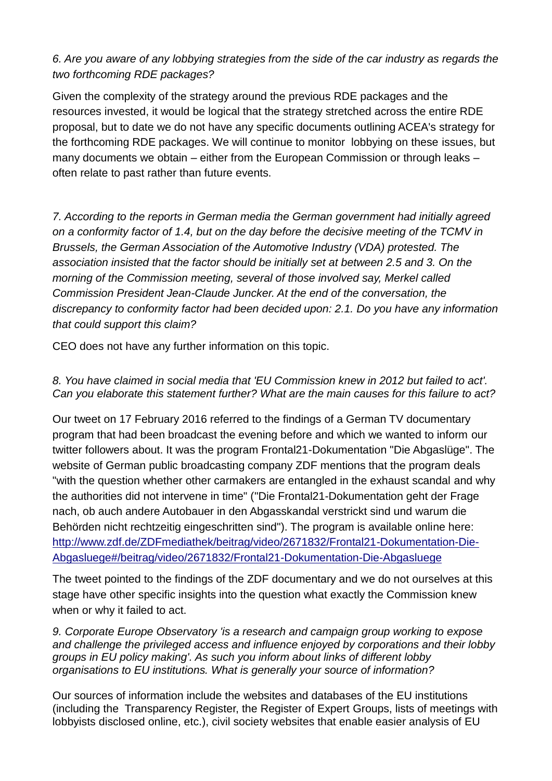## *6. Are you aware of any lobbying strategies from the side of the car industry as regards the two forthcoming RDE packages?*

Given the complexity of the strategy around the previous RDE packages and the resources invested, it would be logical that the strategy stretched across the entire RDE proposal, but to date we do not have any specific documents outlining ACEA's strategy for the forthcoming RDE packages. We will continue to monitor lobbying on these issues, but many documents we obtain – either from the European Commission or through leaks – often relate to past rather than future events.

*7. According to the reports in German media the German government had initially agreed on a conformity factor of 1.4, but on the day before the decisive meeting of the TCMV in Brussels, the German Association of the Automotive Industry (VDA) protested. The association insisted that the factor should be initially set at between 2.5 and 3. On the morning of the Commission meeting, several of those involved say, Merkel called Commission President Jean-Claude Juncker. At the end of the conversation, the discrepancy to conformity factor had been decided upon: 2.1. Do you have any information that could support this claim?*

CEO does not have any further information on this topic.

### *8. You have claimed in social media that 'EU Commission knew in 2012 but failed to act'. Can you elaborate this statement further? What are the main causes for this failure to act?*

Our tweet on 17 February 2016 referred to the findings of a German TV documentary program that had been broadcast the evening before and which we wanted to inform our twitter followers about. It was the program Frontal21-Dokumentation "Die Abgaslüge". The website of German public broadcasting company ZDF mentions that the program deals "with the question whether other carmakers are entangled in the exhaust scandal and why the authorities did not intervene in time" ("Die Frontal21-Dokumentation geht der Frage nach, ob auch andere Autobauer in den Abgasskandal verstrickt sind und warum die Behörden nicht rechtzeitig eingeschritten sind"). The program is available online here: [http://www.zdf.de/ZDFmediathek/beitrag/video/2671832/Frontal21-Dokumentation-Die-](http://www.zdf.de/ZDFmediathek/beitrag/video/2671832/Frontal21-Dokumentation-Die-Abgasluege#/beitrag/video/2671832/Frontal21-Dokumentation-Die-Abgasluege)[Abgasluege#/beitrag/video/2671832/Frontal21-Dokumentation-Die-Abgasluege](http://www.zdf.de/ZDFmediathek/beitrag/video/2671832/Frontal21-Dokumentation-Die-Abgasluege#/beitrag/video/2671832/Frontal21-Dokumentation-Die-Abgasluege)

The tweet pointed to the findings of the ZDF documentary and we do not ourselves at this stage have other specific insights into the question what exactly the Commission knew when or why it failed to act.

*9. Corporate Europe Observatory 'is a research and campaign group working to expose and challenge the privileged access and influence enjoyed by corporations and their lobby groups in EU policy making'. As such you inform about links of different lobby organisations to EU institutions. What is generally your source of information?*

Our sources of information include the websites and databases of the EU institutions (including the Transparency Register, the Register of Expert Groups, lists of meetings with lobbyists disclosed online, etc.), civil society websites that enable easier analysis of EU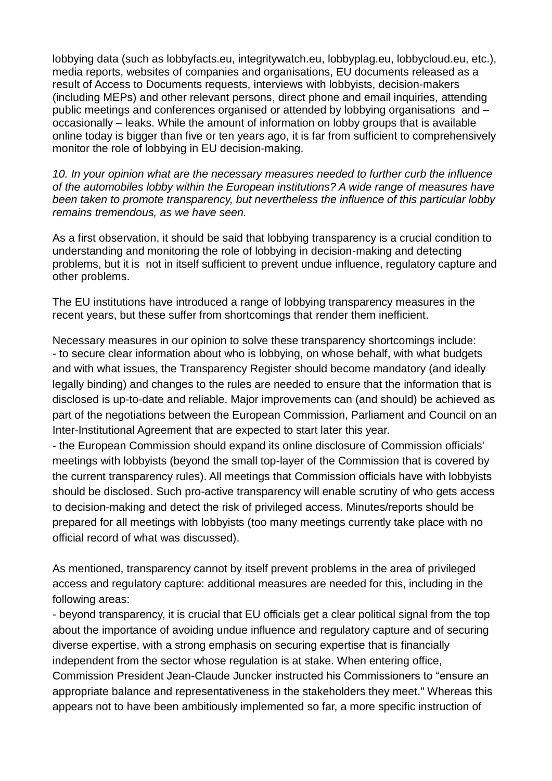lobbying data (such as lobbyfacts.eu, integritywatch.eu, lobbyplag.eu, lobbycloud.eu, etc.), media reports, websites of companies and organisations, EU documents released as a result of Access to Documents requests, interviews with lobbyists, decision-makers (including MEPs) and other relevant persons, direct phone and email inquiries, attending public meetings and conferences organised or attended by lobbying organisations and – occasionally – leaks. While the amount of information on lobby groups that is available online today is bigger than five or ten years ago, it is far from sufficient to comprehensively monitor the role of lobbying in EU decision-making.

*10. In your opinion what are the necessary measures needed to further curb the influence of the automobiles lobby within the European institutions? A wide range of measures have been taken to promote transparency, but nevertheless the influence of this particular lobby remains tremendous, as we have seen.*

As a first observation, it should be said that lobbying transparency is a crucial condition to understanding and monitoring the role of lobbying in decision-making and detecting problems, but it is not in itself sufficient to prevent undue influence, regulatory capture and other problems.

The EU institutions have introduced a range of lobbying transparency measures in the recent years, but these suffer from shortcomings that render them inefficient.

Necessary measures in our opinion to solve these transparency shortcomings include: - to secure clear information about who is lobbying, on whose behalf, with what budgets and with what issues, the Transparency Register should become mandatory (and ideally legally binding) and changes to the rules are needed to ensure that the information that is disclosed is up-to-date and reliable. Major improvements can (and should) be achieved as part of the negotiations between the European Commission, Parliament and Council on an Inter-Institutional Agreement that are expected to start later this year.

- the European Commission should expand its online disclosure of Commission officials' meetings with lobbyists (beyond the small top-layer of the Commission that is covered by the current transparency rules). All meetings that Commission officials have with lobbyists should be disclosed. Such pro-active transparency will enable scrutiny of who gets access to decision-making and detect the risk of privileged access. Minutes/reports should be prepared for all meetings with lobbyists (too many meetings currently take place with no official record of what was discussed).

As mentioned, transparency cannot by itself prevent problems in the area of privileged access and regulatory capture: additional measures are needed for this, including in the following areas:

- beyond transparency, it is crucial that EU officials get a clear political signal from the top about the importance of avoiding undue influence and regulatory capture and of securing diverse expertise, with a strong emphasis on securing expertise that is financially independent from the sector whose regulation is at stake. When entering office, Commission President Jean-Claude Juncker instructed his Commissioners to "ensure an appropriate balance and representativeness in the stakeholders they meet." Whereas this appears not to have been ambitiously implemented so far, a more specific instruction of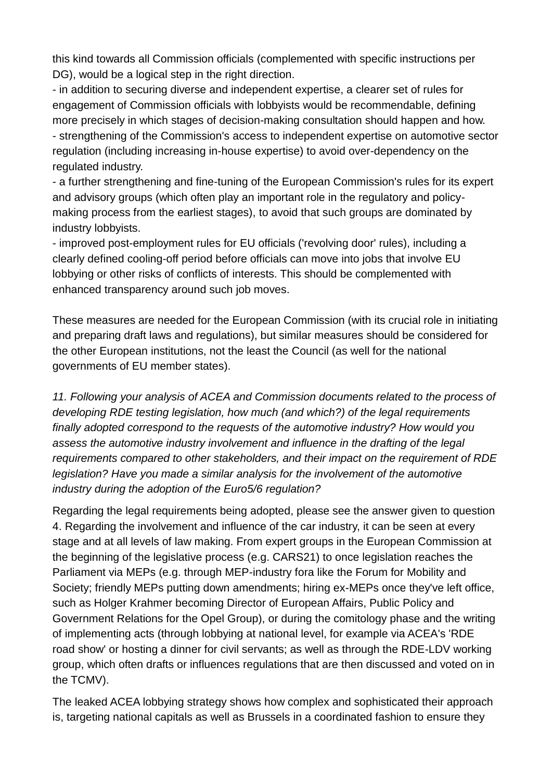this kind towards all Commission officials (complemented with specific instructions per DG), would be a logical step in the right direction.

- in addition to securing diverse and independent expertise, a clearer set of rules for engagement of Commission officials with lobbyists would be recommendable, defining more precisely in which stages of decision-making consultation should happen and how. - strengthening of the Commission's access to independent expertise on automotive sector regulation (including increasing in-house expertise) to avoid over-dependency on the regulated industry.

- a further strengthening and fine-tuning of the European Commission's rules for its expert and advisory groups (which often play an important role in the regulatory and policymaking process from the earliest stages), to avoid that such groups are dominated by industry lobbyists.

- improved post-employment rules for EU officials ('revolving door' rules), including a clearly defined cooling-off period before officials can move into jobs that involve EU lobbying or other risks of conflicts of interests. This should be complemented with enhanced transparency around such job moves.

These measures are needed for the European Commission (with its crucial role in initiating and preparing draft laws and regulations), but similar measures should be considered for the other European institutions, not the least the Council (as well for the national governments of EU member states).

*11. Following your analysis of ACEA and Commission documents related to the process of developing RDE testing legislation, how much (and which?) of the legal requirements finally adopted correspond to the requests of the automotive industry? How would you assess the automotive industry involvement and influence in the drafting of the legal requirements compared to other stakeholders, and their impact on the requirement of RDE legislation? Have you made a similar analysis for the involvement of the automotive industry during the adoption of the Euro5/6 regulation?*

Regarding the legal requirements being adopted, please see the answer given to question 4. Regarding the involvement and influence of the car industry, it can be seen at every stage and at all levels of law making. From expert groups in the European Commission at the beginning of the legislative process (e.g. CARS21) to once legislation reaches the Parliament via MEPs (e.g. through MEP-industry fora like the Forum for Mobility and Society; friendly MEPs putting down amendments; hiring ex-MEPs once they've left office, such as Holger Krahmer becoming Director of European Affairs, Public Policy and Government Relations for the Opel Group), or during the comitology phase and the writing of implementing acts (through lobbying at national level, for example via ACEA's 'RDE road show' or hosting a dinner for civil servants; as well as through the RDE-LDV working group, which often drafts or influences regulations that are then discussed and voted on in the TCMV).

The leaked ACEA lobbying strategy shows how complex and sophisticated their approach is, targeting national capitals as well as Brussels in a coordinated fashion to ensure they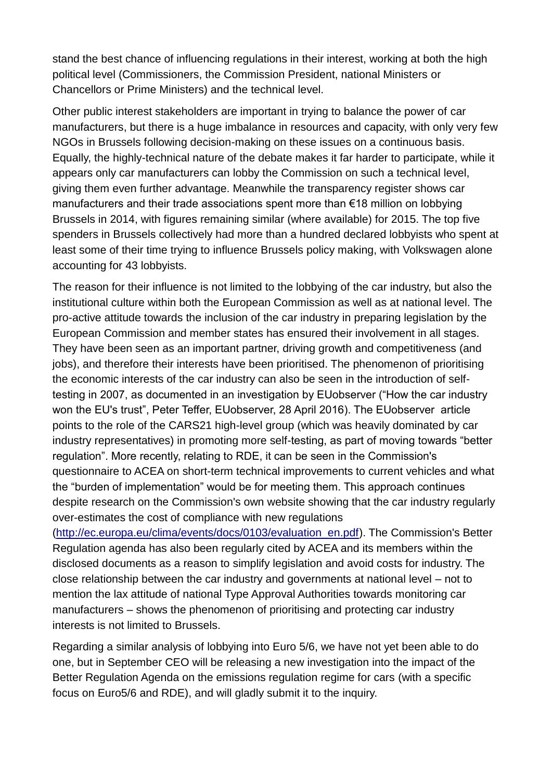stand the best chance of influencing regulations in their interest, working at both the high political level (Commissioners, the Commission President, national Ministers or Chancellors or Prime Ministers) and the technical level.

Other public interest stakeholders are important in trying to balance the power of car manufacturers, but there is a huge imbalance in resources and capacity, with only very few NGOs in Brussels following decision-making on these issues on a continuous basis. Equally, the highly-technical nature of the debate makes it far harder to participate, while it appears only car manufacturers can lobby the Commission on such a technical level, giving them even further advantage. Meanwhile the transparency register shows car manufacturers and their trade associations spent more than €18 million on lobbying Brussels in 2014, with figures remaining similar (where available) for 2015. The top five spenders in Brussels collectively had more than a hundred declared lobbyists who spent at least some of their time trying to influence Brussels policy making, with Volkswagen alone accounting for 43 lobbyists.

The reason for their influence is not limited to the lobbying of the car industry, but also the institutional culture within both the European Commission as well as at national level. The pro-active attitude towards the inclusion of the car industry in preparing legislation by the European Commission and member states has ensured their involvement in all stages. They have been seen as an important partner, driving growth and competitiveness (and jobs), and therefore their interests have been prioritised. The phenomenon of prioritising the economic interests of the car industry can also be seen in the introduction of selftesting in 2007, as documented in an investigation by EUobserver ("How the car industry won the EU's trust", Peter Teffer, EUobserver, 28 April 2016). The EUobserver article points to the role of the CARS21 high-level group (which was heavily dominated by car industry representatives) in promoting more self-testing, as part of moving towards "better regulation". More recently, relating to RDE, it can be seen in the Commission's questionnaire to ACEA on short-term technical improvements to current vehicles and what the "burden of implementation" would be for meeting them. This approach continues despite research on the Commission's own website showing that the car industry regularly over-estimates the cost of compliance with new regulations

[\(http://ec.europa.eu/clima/events/docs/0103/evaluation\\_en.pdf\)](http://ec.europa.eu/clima/events/docs/0103/evaluation_en.pdf). The Commission's Better Regulation agenda has also been regularly cited by ACEA and its members within the disclosed documents as a reason to simplify legislation and avoid costs for industry. The close relationship between the car industry and governments at national level – not to mention the lax attitude of national Type Approval Authorities towards monitoring car manufacturers – shows the phenomenon of prioritising and protecting car industry interests is not limited to Brussels.

Regarding a similar analysis of lobbying into Euro 5/6, we have not yet been able to do one, but in September CEO will be releasing a new investigation into the impact of the Better Regulation Agenda on the emissions regulation regime for cars (with a specific focus on Euro5/6 and RDE), and will gladly submit it to the inquiry.